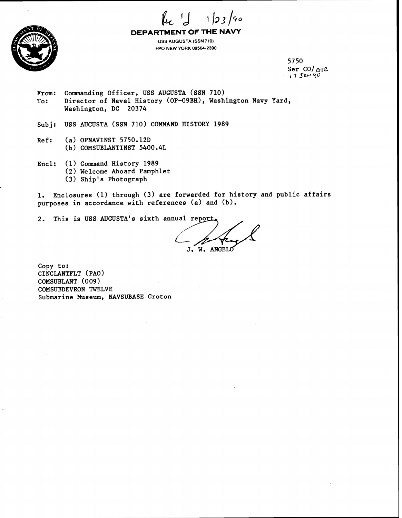



**DEPARTMENT OF THE NAVY** 

**USS AUGUSTA (SSN 710) FPO NEW YORK 09564-2390** 

> 5750 Ser cO/ **012**   $17$   $Jaw$   $90$

- From: Commanding Officer, USS AUGUSTA (SSN 710) To: Director of Naval History (OP-09BH), Washington Navy Yard, Washington, DC 20374
- Subj: USS AUGUSTA (SSN 710) COMMAND HISTORY 1989
- Ref: (a) OPNAVINST 5750.12D (b) COMSUBLANTINST 5400.4L
- Encl: (1) Command History 1989 (2) Welcome Aboard Pamphlet
	- **(3)** Ship's Photograph

1. Enclosures (1) through **(3)** are forwarded for history and public affairs purposes in accordance with references **(a)** and (b).

2. This is USS AUGUSTA's sixth annual report.

 $\subset$ 

Copy to: CINCLANTFLT (PAO) COMSUBLANT (009) COMSUBDEVRON TWELVE Submarine Museum, NAVSUBASE Groton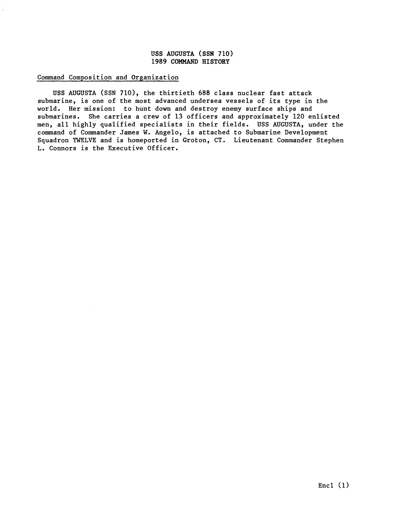## Command Composition and Organization

USS AUGUSTA (SSN 710), the thirtieth 688 class nuclear fast attack submarine, is one of the most advanced undersea vessels of its type in the world. Her mission: to hunt down and destroy enemy surface ships and submarines. She carries a crew of 13 officers and approximately 120 enlisted men, all highly qualified specialists in their fields. USS AUGUSTA, under the command of Commander James W. Angelo, is attached to Submarine Development Squadron TWELVE and is homeported in Groton, CT. Lieutenant Commander Stephen L. Connors is the Executive Officer.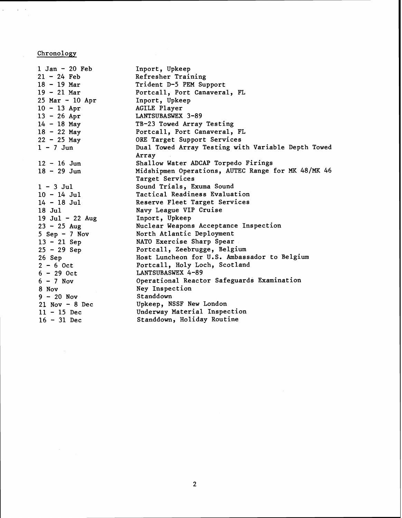**Chronology** 

 $\label{eq:2.1} \frac{1}{\sigma} \left( \frac{1}{\sigma} \right) \left( \frac{1}{\sigma} \right) \frac{1}{\sigma} \frac{1}{\sigma} \frac{1}{\sigma}$ 

| $1$ Jan - $20$ Feb<br>$21 - 24$ Feb<br>$18 - 19$ Mar<br>$19 - 21$ Mar<br>$25$ Mar - 10 Apr<br>$10 - 13$ Apr<br>$13 - 26$ Apr<br>$14 - 18$ May<br>$18 - 22$ May<br>$22 - 25$ May | Inport, Upkeep<br>Refresher Training<br>Trident D-5 PEM Support<br>Portcall, Port Canaveral, FL<br>Inport, Upkeep<br>AGILE Player<br>LANTSUBASWEX 3-89<br>TB-23 Towed Array Testing<br>Portcall, Port Canaveral, FL<br>ORE Target Support Services |
|---------------------------------------------------------------------------------------------------------------------------------------------------------------------------------|----------------------------------------------------------------------------------------------------------------------------------------------------------------------------------------------------------------------------------------------------|
| $1 - 7$ Jun                                                                                                                                                                     | Dual Towed Array Testing with Variable Depth Towed                                                                                                                                                                                                 |
|                                                                                                                                                                                 | Array                                                                                                                                                                                                                                              |
| $12 - 16$ Jun                                                                                                                                                                   | Shallow Water ADCAP Torpedo Firings                                                                                                                                                                                                                |
| $18 - 29$ Jun                                                                                                                                                                   | Midshipmen Operations, AUTEC Range for MK 48/MK 46<br>Target Services                                                                                                                                                                              |
| $1 - 3$ Jul                                                                                                                                                                     | Sound Trials, Exuma Sound                                                                                                                                                                                                                          |
| $10 - 14$ Jul                                                                                                                                                                   | Tactical Readiness Evaluation                                                                                                                                                                                                                      |
| $14 - 18$ Jul                                                                                                                                                                   | Reserve Fleet Target Services                                                                                                                                                                                                                      |
| $18$ Jul                                                                                                                                                                        | Navy League VIP Cruise                                                                                                                                                                                                                             |
| 19 Jul - 22 Aug                                                                                                                                                                 | Inport, Upkeep                                                                                                                                                                                                                                     |
| $23 - 25$ Aug                                                                                                                                                                   | Nuclear Weapons Acceptance Inspection                                                                                                                                                                                                              |
| $5$ Sep - 7 Nov                                                                                                                                                                 | North Atlantic Deployment                                                                                                                                                                                                                          |
| $13 - 21$ Sep                                                                                                                                                                   | NATO Exercise Sharp Spear                                                                                                                                                                                                                          |
| $25 - 29$ Sep                                                                                                                                                                   | Portcall, Zeebrugge, Belgium                                                                                                                                                                                                                       |
| $26$ Sep                                                                                                                                                                        | Host Luncheon for U.S. Ambassador to Belgium                                                                                                                                                                                                       |
| $2 - 6$ Oct                                                                                                                                                                     | Portcall, Holy Loch, Scotland                                                                                                                                                                                                                      |
| $6 - 29$ Oct                                                                                                                                                                    | LANTSUBASWEX 4-89                                                                                                                                                                                                                                  |
| $6 - 7$ Nov                                                                                                                                                                     | Operational Reactor Safeguards Examination                                                                                                                                                                                                         |
| 8 Nov                                                                                                                                                                           | Ney Inspection                                                                                                                                                                                                                                     |
| $9 - 20$ Nov                                                                                                                                                                    | Standdown                                                                                                                                                                                                                                          |
| $21$ Nov - 8 Dec                                                                                                                                                                | Upkeep, NSSF New London                                                                                                                                                                                                                            |
| $11 - 15$ Dec                                                                                                                                                                   | Underway Material Inspection                                                                                                                                                                                                                       |
| $16 - 31$ Dec                                                                                                                                                                   | Standdown, Holiday Routine                                                                                                                                                                                                                         |